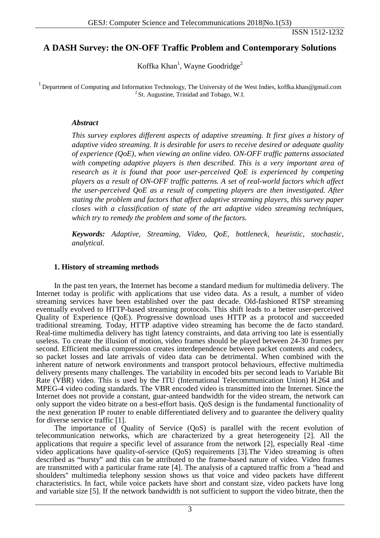## **A DASH Survey: the ON-OFF Traffic Problem and Contemporary Solutions**

Koffka Khan<sup>1</sup>, Wayne Goodridge<sup>2</sup>

<sup>1</sup> Department of Computing and Information Technology, The University of the West Indies, koffka.khan@gmail.com <sup>2</sup> St. Augustine, Trinidad and Tobago, W.I.

#### *Abstract*

*This survey explores different aspects of adaptive streaming. It first gives a history of adaptive video streaming. It is desirable for users to receive desired or adequate quality of experience (QoE), when viewing an online video. ON-OFF traffic patterns associated*  with competing adaptive players is then described. This is a very important area of *research as it is found that poor user-perceived QoE is experienced by competing players as a result of ON-OFF traffic patterns. A set of real-world factors which affect the user-perceived QoE as a result of competing players are then investigated. After stating the problem and factors that affect adaptive streaming players, this survey paper closes with a classification of state of the art adaptive video streaming techniques, which try to remedy the problem and some of the factors.*

*Keywords: Adaptive, Streaming, Video, QoE, bottleneck, heuristic, stochastic, analytical.*

#### **1. History of streaming methods**

In the past ten years, the Internet has become a standard medium for multimedia delivery. The Internet today is prolific with applications that use video data. As a result, a number of video streaming services have been established over the past decade. Old-fashioned RTSP streaming eventually evolved to HTTP-based streaming protocols. This shift leads to a better user-perceived Quality of Experience (QoE). Progressive download uses HTTP as a protocol and succeeded traditional streaming. Today, HTTP adaptive video streaming has become the de facto standard. Real-time multimedia delivery has tight latency constraints, and data arriving too late is essentially useless. To create the illusion of motion, video frames should be played between 24-30 frames per second. Efficient media compression creates interdependence between packet contents and codecs, so packet losses and late arrivals of video data can be detrimental. When combined with the inherent nature of network environments and transport protocol behaviours, effective multimedia delivery presents many challenges. The variability in encoded bits per second leads to Variable Bit Rate (VBR) video. This is used by the ITU (International Telecommunication Union) H.264 and MPEG-4 video coding standards. The VBR encoded video is transmitted into the Internet. Since the Internet does not provide a constant, guar-anteed bandwidth for the video stream, the network can only support the video bitrate on a best-effort basis. QoS design is the fundamental functionality of the next generation IP router to enable differentiated delivery and to guarantee the delivery quality for diverse service traffic [1].

The importance of Quality of Service (QoS) is parallel with the recent evolution of telecommunication networks, which are characterized by a great heterogeneity [2]. All the applications that require a specific level of assurance from the network [2], especially Real -time video applications have quality-of-service (QoS) requirements [3].The Video streaming is often described as "bursty" and this can be attributed to the frame-based nature of video. Video frames are transmitted with a particular frame rate [4]. The analysis of a captured traffic from a "head and shoulders'' multimedia telephony session shows us that voice and video packets have different characteristics. In fact, while voice packets have short and constant size, video packets have long and variable size [5]. If the network bandwidth is not sufficient to support the video bitrate, then the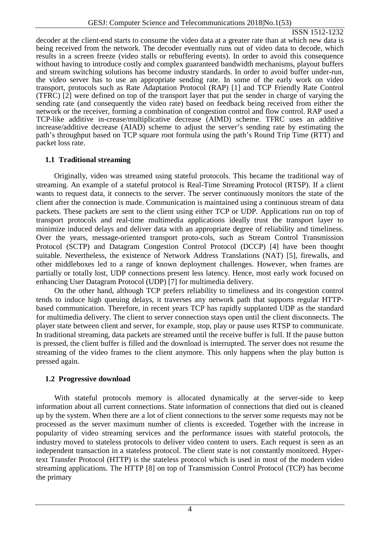decoder at the client-end starts to consume the video data at a greater rate than at which new data is being received from the network. The decoder eventually runs out of video data to decode, which results in a screen freeze (video stalls or rebuffering events). In order to avoid this consequence without having to introduce costly and complex guaranteed bandwidth mechanisms, playout buffers and stream switching solutions has become industry standards. In order to avoid buffer under-run, the video server has to use an appropriate sending rate. In some of the early work on video transport, protocols such as Rate Adaptation Protocol (RAP) [1] and TCP Friendly Rate Control (TFRC) [2] were defined on top of the transport layer that put the sender in charge of varying the sending rate (and consequently the video rate) based on feedback being received from either the network or the receiver, forming a combination of congestion control and flow control. RAP used a TCP-like additive in-crease/multiplicative decrease (AIMD) scheme. TFRC uses an additive increase/additive decrease (AIAD) scheme to adjust the server's sending rate by estimating the path's throughput based on TCP square root formula using the path's Round Trip Time (RTT) and packet loss rate.

## **1.1 Traditional streaming**

Originally, video was streamed using stateful protocols. This became the traditional way of streaming. An example of a stateful protocol is Real-Time Streaming Protocol (RTSP). If a client wants to request data, it connects to the server. The server continuously monitors the state of the client after the connection is made. Communication is maintained using a continuous stream of data packets. These packets are sent to the client using either TCP or UDP. Applications run on top of transport protocols and real-time multimedia applications ideally trust the transport layer to minimize induced delays and deliver data with an appropriate degree of reliability and timeliness. Over the years, message-oriented transport proto-cols, such as Stream Control Transmission Protocol (SCTP) and Datagram Congestion Control Protocol (DCCP) [4] have been thought suitable. Nevertheless, the existence of Network Address Translations (NAT) [5], firewalls, and other middleboxes led to a range of known deployment challenges. However, when frames are partially or totally lost, UDP connections present less latency. Hence, most early work focused on enhancing User Datagram Protocol (UDP) [7] for multimedia delivery.

On the other hand, although TCP prefers reliability to timeliness and its congestion control tends to induce high queuing delays, it traverses any network path that supports regular HTTPbased communication. Therefore, in recent years TCP has rapidly supplanted UDP as the standard for multimedia delivery. The client to server connection stays open until the client disconnects. The player state between client and server, for example, stop, play or pause uses RTSP to communicate. In traditional streaming, data packets are streamed until the receive buffer is full. If the pause button is pressed, the client buffer is filled and the download is interrupted. The server does not resume the streaming of the video frames to the client anymore. This only happens when the play button is pressed again.

## **1.2 Progressive download**

With stateful protocols memory is allocated dynamically at the server-side to keep information about all current connections. State information of connections that died out is cleaned up by the system. When there are a lot of client connections to the server some requests may not be processed as the server maximum number of clients is exceeded. Together with the increase in popularity of video streaming services and the performance issues with stateful protocols, the industry moved to stateless protocols to deliver video content to users. Each request is seen as an independent transaction in a stateless protocol. The client state is not constantly monitored. Hypertext Transfer Protocol (HTTP) is the stateless protocol which is used in most of the modern video streaming applications. The HTTP [8] on top of Transmission Control Protocol (TCP) has become the primary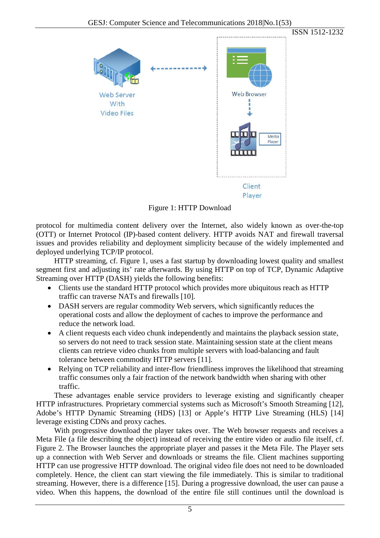

Figure 1: HTTP Download

protocol for multimedia content delivery over the Internet, also widely known as over-the-top (OTT) or Internet Protocol (IP)-based content delivery. HTTP avoids NAT and firewall traversal issues and provides reliability and deployment simplicity because of the widely implemented and deployed underlying TCP/IP protocol.

HTTP streaming, cf. Figure 1, uses a fast startup by downloading lowest quality and smallest segment first and adjusting its' rate afterwards. By using HTTP on top of TCP, Dynamic Adaptive Streaming over HTTP (DASH) yields the following benefits:

- Clients use the standard HTTP protocol which provides more ubiquitous reach as HTTP traffic can traverse NATs and firewalls [10].
- DASH servers are regular commodity Web servers, which significantly reduces the operational costs and allow the deployment of caches to improve the performance and reduce the network load.
- A client requests each video chunk independently and maintains the playback session state, so servers do not need to track session state. Maintaining session state at the client means clients can retrieve video chunks from multiple servers with load-balancing and fault tolerance between commodity HTTP servers [11].
- Relying on TCP reliability and inter-flow friendliness improves the likelihood that streaming traffic consumes only a fair fraction of the network bandwidth when sharing with other traffic.

These advantages enable service providers to leverage existing and significantly cheaper HTTP infrastructures. Proprietary commercial systems such as Microsoft's Smooth Streaming [12], Adobe's HTTP Dynamic Streaming (HDS) [13] or Apple's HTTP Live Streaming (HLS) [14] leverage existing CDNs and proxy caches.

With progressive download the player takes over. The Web browser requests and receives a Meta File (a file describing the object) instead of receiving the entire video or audio file itself, cf. Figure 2. The Browser launches the appropriate player and passes it the Meta File. The Player sets up a connection with Web Server and downloads or streams the file. Client machines supporting HTTP can use progressive HTTP download. The original video file does not need to be downloaded completely. Hence, the client can start viewing the file immediately. This is similar to traditional streaming. However, there is a difference [15]. During a progressive download, the user can pause a video. When this happens, the download of the entire file still continues until the download is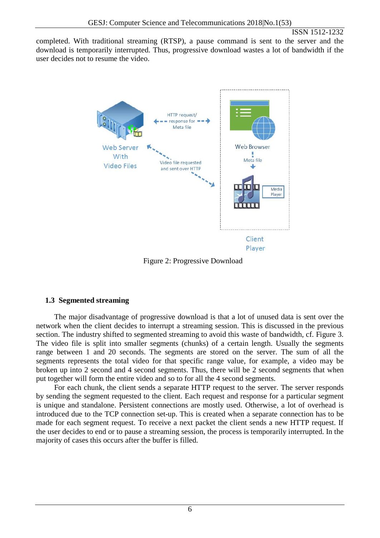completed. With traditional streaming (RTSP), a pause command is sent to the server and the download is temporarily interrupted. Thus, progressive download wastes a lot of bandwidth if the user decides not to resume the video.



Figure 2: Progressive Download

# **1.3 Segmented streaming**

The major disadvantage of progressive download is that a lot of unused data is sent over the network when the client decides to interrupt a streaming session. This is discussed in the previous section. The industry shifted to segmented streaming to avoid this waste of bandwidth, cf. Figure 3. The video file is split into smaller segments (chunks) of a certain length. Usually the segments range between 1 and 20 seconds. The segments are stored on the server. The sum of all the segments represents the total video for that specific range value, for example, a video may be broken up into 2 second and 4 second segments. Thus, there will be 2 second segments that when put together will form the entire video and so to for all the 4 second segments.

For each chunk, the client sends a separate HTTP request to the server. The server responds by sending the segment requested to the client. Each request and response for a particular segment is unique and standalone. Persistent connections are mostly used. Otherwise, a lot of overhead is introduced due to the TCP connection set-up. This is created when a separate connection has to be made for each segment request. To receive a next packet the client sends a new HTTP request. If the user decides to end or to pause a streaming session, the process is temporarily interrupted. In the majority of cases this occurs after the buffer is filled.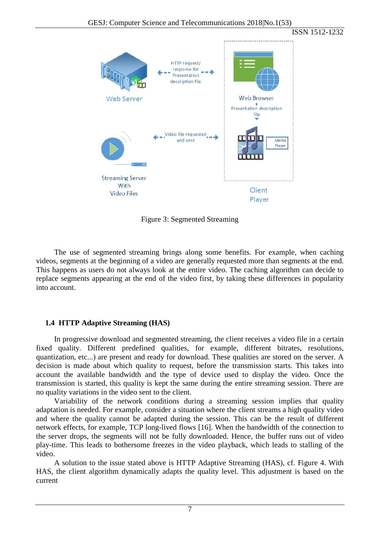ISSN 1512-1232 HTTP request/ response for Presentation description file **Web Server** Web Browser Presentation description file Video file requested and sent Media Player **Streaming Server With** Client **Video Files** Player

Figure 3: Segmented Streaming

The use of segmented streaming brings along some benefits. For example, when caching videos, segments at the beginning of a video are generally requested more than segments at the end. This happens as users do not always look at the entire video. The caching algorithm can decide to replace segments appearing at the end of the video first, by taking these differences in popularity into account.

## **1.4 HTTP Adaptive Streaming (HAS)**

In progressive download and segmented streaming, the client receives a video file in a certain fixed quality. Different predefined qualities, for example, different bitrates, resolutions, quantization, etc...) are present and ready for download. These qualities are stored on the server. A decision is made about which quality to request, before the transmission starts. This takes into account the available bandwidth and the type of device used to display the video. Once the transmission is started, this quality is kept the same during the entire streaming session. There are no quality variations in the video sent to the client.

Variability of the network conditions during a streaming session implies that quality adaptation is needed. For example, consider a situation where the client streams a high quality video and where the quality cannot be adapted during the session. This can be the result of different network effects, for example, TCP long-lived flows [16]. When the bandwidth of the connection to the server drops, the segments will not be fully downloaded. Hence, the buffer runs out of video play-time. This leads to bothersome freezes in the video playback, which leads to stalling of the video.

A solution to the issue stated above is HTTP Adaptive Streaming (HAS), cf. Figure 4. With HAS, the client algorithm dynamically adapts the quality level. This adjustment is based on the current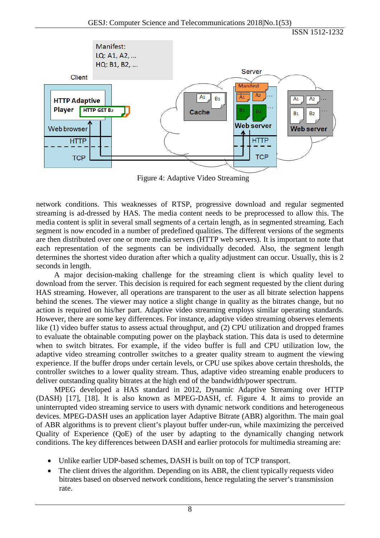

Figure 4: Adaptive Video Streaming

network conditions. This weaknesses of RTSP, progressive download and regular segmented streaming is ad-dressed by HAS. The media content needs to be preprocessed to allow this. The media content is split in several small segments of a certain length, as in segmented streaming. Each segment is now encoded in a number of predefined qualities. The different versions of the segments are then distributed over one or more media servers (HTTP web servers). It is important to note that each representation of the segments can be individually decoded. Also, the segment length determines the shortest video duration after which a quality adjustment can occur. Usually, this is 2 seconds in length.

A major decision-making challenge for the streaming client is which quality level to download from the server. This decision is required for each segment requested by the client during HAS streaming. However, all operations are transparent to the user as all bitrate selection happens behind the scenes. The viewer may notice a slight change in quality as the bitrates change, but no action is required on his/her part. Adaptive video streaming employs similar operating standards. However, there are some key differences. For instance, adaptive video streaming observes elements like (1) video buffer status to assess actual throughput, and (2) CPU utilization and dropped frames to evaluate the obtainable computing power on the playback station. This data is used to determine when to switch bitrates. For example, if the video buffer is full and CPU utilization low, the adaptive video streaming controller switches to a greater quality stream to augment the viewing experience. If the buffer drops under certain levels, or CPU use spikes above certain thresholds, the controller switches to a lower quality stream. Thus, adaptive video streaming enable producers to deliver outstanding quality bitrates at the high end of the bandwidth/power spectrum.

MPEG developed a HAS standard in 2012, Dynamic Adaptive Streaming over HTTP (DASH) [17], [18]. It is also known as MPEG-DASH, cf. Figure 4. It aims to provide an uninterrupted video streaming service to users with dynamic network conditions and heterogeneous devices. MPEG-DASH uses an application layer Adaptive Bitrate (ABR) algorithm. The main goal of ABR algorithms is to prevent client's playout buffer under-run, while maximizing the perceived Quality of Experience (QoE) of the user by adapting to the dynamically changing network conditions. The key differences between DASH and earlier protocols for multimedia streaming are:

- Unlike earlier UDP-based schemes, DASH is built on top of TCP transport.
- The client drives the algorithm. Depending on its ABR, the client typically requests video bitrates based on observed network conditions, hence regulating the server's transmission rate.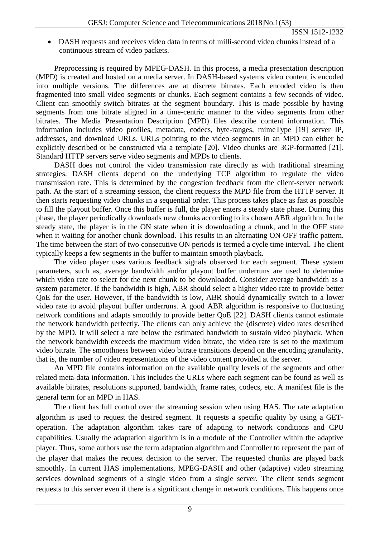• DASH requests and receives video data in terms of milli-second video chunks instead of a continuous stream of video packets.

Preprocessing is required by MPEG-DASH. In this process, a media presentation description (MPD) is created and hosted on a media server. In DASH-based systems video content is encoded into multiple versions. The differences are at discrete bitrates. Each encoded video is then fragmented into small video segments or chunks. Each segment contains a few seconds of video. Client can smoothly switch bitrates at the segment boundary. This is made possible by having segments from one bitrate aligned in a time-centric manner to the video segments from other bitrates. The Media Presentation Description (MPD) files describe content information. This information includes video profiles, metadata, codecs, byte-ranges, mimeType [19] server IP, addresses, and download URLs. URLs pointing to the video segments in an MPD can either be explicitly described or be constructed via a template [20]. Video chunks are 3GP-formatted [21]. Standard HTTP servers serve video segments and MPDs to clients.

DASH does not control the video transmission rate directly as with traditional streaming strategies. DASH clients depend on the underlying TCP algorithm to regulate the video transmission rate. This is determined by the congestion feedback from the client-server network path. At the start of a streaming session, the client requests the MPD file from the HTTP server. It then starts requesting video chunks in a sequential order. This process takes place as fast as possible to fill the playout buffer. Once this buffer is full, the player enters a steady state phase. During this phase, the player periodically downloads new chunks according to its chosen ABR algorithm. In the steady state, the player is in the ON state when it is downloading a chunk, and in the OFF state when it waiting for another chunk download. This results in an alternating ON-OFF traffic pattern. The time between the start of two consecutive ON periods is termed a cycle time interval. The client typically keeps a few segments in the buffer to maintain smooth playback.

The video player uses various feedback signals observed for each segment. These system parameters, such as, average bandwidth and/or playout buffer underruns are used to determine which video rate to select for the next chunk to be downloaded. Consider average bandwidth as a system parameter. If the bandwidth is high, ABR should select a higher video rate to provide better QoE for the user. However, if the bandwidth is low, ABR should dynamically switch to a lower video rate to avoid playout buffer underruns. A good ABR algorithm is responsive to fluctuating network conditions and adapts smoothly to provide better QoE [22]. DASH clients cannot estimate the network bandwidth perfectly. The clients can only achieve the (discrete) video rates described by the MPD. It will select a rate below the estimated bandwidth to sustain video playback. When the network bandwidth exceeds the maximum video bitrate, the video rate is set to the maximum video bitrate. The smoothness between video bitrate transitions depend on the encoding granularity, that is, the number of video representations of the video content provided at the server.

An MPD file contains information on the available quality levels of the segments and other related meta-data information. This includes the URLs where each segment can be found as well as available bitrates, resolutions supported, bandwidth, frame rates, codecs, etc. A manifest file is the general term for an MPD in HAS.

The client has full control over the streaming session when using HAS. The rate adaptation algorithm is used to request the desired segment. It requests a specific quality by using a GEToperation. The adaptation algorithm takes care of adapting to network conditions and CPU capabilities. Usually the adaptation algorithm is in a module of the Controller within the adaptive player. Thus, some authors use the term adaptation algorithm and Controller to represent the part of the player that makes the request decision to the server. The requested chunks are played back smoothly. In current HAS implementations, MPEG-DASH and other (adaptive) video streaming services download segments of a single video from a single server. The client sends segment requests to this server even if there is a significant change in network conditions. This happens once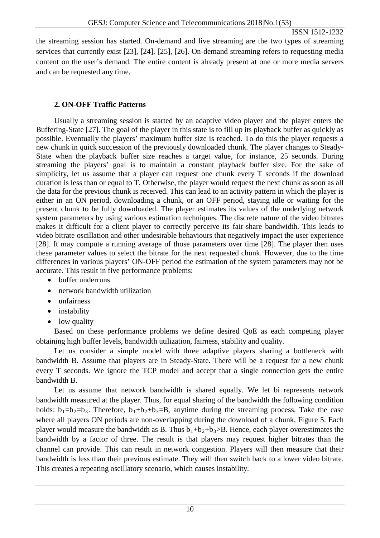the streaming session has started. On-demand and live streaming are the two types of streaming services that currently exist [23], [24], [25], [26]. On-demand streaming refers to requesting media content on the user's demand. The entire content is already present at one or more media servers and can be requested any time.

## **2. ON-OFF Traffic Patterns**

Usually a streaming session is started by an adaptive video player and the player enters the Buffering-State [27]. The goal of the player in this state is to fill up its playback buffer as quickly as possible. Eventually the players' maximum buffer size is reached. To do this the player requests a new chunk in quick succession of the previously downloaded chunk. The player changes to Steady-State when the playback buffer size reaches a target value, for instance, 25 seconds. During streaming the players' goal is to maintain a constant playback buffer size. For the sake of simplicity, let us assume that a player can request one chunk every T seconds if the download duration is less than or equal to T. Otherwise, the player would request the next chunk as soon as all the data for the previous chunk is received. This can lead to an activity pattern in which the player is either in an ON period, downloading a chunk, or an OFF period, staying idle or waiting for the present chunk to be fully downloaded. The player estimates its values of the underlying network system parameters by using various estimation techniques. The discrete nature of the video bitrates makes it difficult for a client player to correctly perceive its fair-share bandwidth. This leads to video bitrate oscillation and other undesirable behaviours that negatively impact the user experience [28]. It may compute a running average of those parameters over time [28]. The player then uses these parameter values to select the bitrate for the next requested chunk. However, due to the time differences in various players' ON-OFF period the estimation of the system parameters may not be accurate. This result in five performance problems:

- buffer underruns
- network bandwidth utilization
- unfairness
- instability
- low quality

Based on these performance problems we define desired QoE as each competing player obtaining high buffer levels, bandwidth utilization, fairness, stability and quality.

Let us consider a simple model with three adaptive players sharing a bottleneck with bandwidth B. Assume that players are in Steady-State. There will be a request for a new chunk every T seconds. We ignore the TCP model and accept that a single connection gets the entire bandwidth B.

Let us assume that network bandwidth is shared equally. We let bi represents network bandwidth measured at the player. Thus, for equal sharing of the bandwidth the following condition holds:  $b_1=b_2=b_3$ . Therefore,  $b_1+b_2+b_3=B$ , anytime during the streaming process. Take the case where all players ON periods are non-overlapping during the download of a chunk, Figure 5. Each player would measure the bandwidth as B. Thus  $b_1+b_2+b_3$ >B. Hence, each player overestimates the bandwidth by a factor of three. The result is that players may request higher bitrates than the channel can provide. This can result in network congestion. Players will then measure that their bandwidth is less than their previous estimate. They will then switch back to a lower video bitrate. This creates a repeating oscillatory scenario, which causes instability.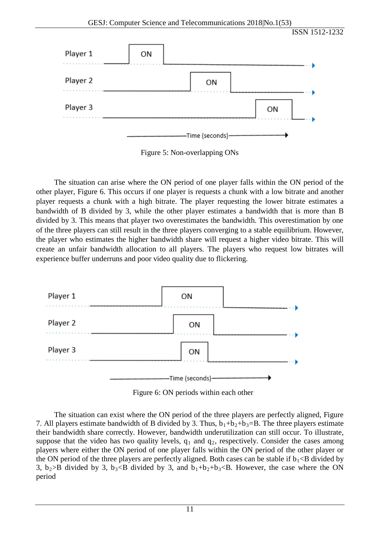

Figure 5: Non-overlapping ONs

The situation can arise where the ON period of one player falls within the ON period of the other player, Figure 6. This occurs if one player is requests a chunk with a low bitrate and another player requests a chunk with a high bitrate. The player requesting the lower bitrate estimates a bandwidth of B divided by 3, while the other player estimates a bandwidth that is more than B divided by 3. This means that player two overestimates the bandwidth. This overestimation by one of the three players can still result in the three players converging to a stable equilibrium. However, the player who estimates the higher bandwidth share will request a higher video bitrate. This will create an unfair bandwidth allocation to all players. The players who request low bitrates will experience buffer underruns and poor video quality due to flickering.



Figure 6: ON periods within each other

The situation can exist where the ON period of the three players are perfectly aligned, Figure 7. All players estimate bandwidth of B divided by 3. Thus,  $b_1+b_2+b_3=B$ . The three players estimate their bandwidth share correctly. However, bandwidth underutilization can still occur. To illustrate, suppose that the video has two quality levels,  $q_1$  and  $q_2$ , respectively. Consider the cases among players where either the ON period of one player falls within the ON period of the other player or the ON period of the three players are perfectly aligned. Both cases can be stable if  $b_1 < B$  divided by 3,  $b_2 > B$  divided by 3,  $b_3 < B$  divided by 3, and  $b_1 + b_2 + b_3 < B$ . However, the case where the ON period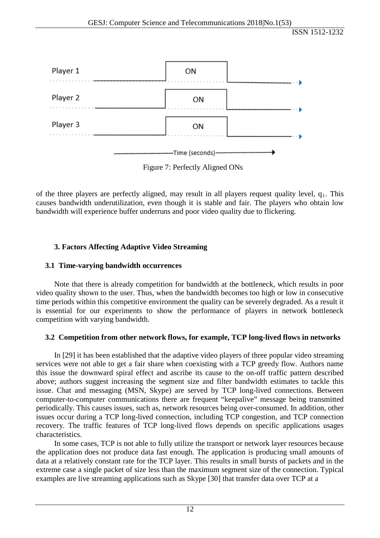

Figure 7: Perfectly Aligned ONs

of the three players are perfectly aligned, may result in all players request quality level,  $q_1$ . This causes bandwidth underutilization, even though it is stable and fair. The players who obtain low bandwidth will experience buffer underruns and poor video quality due to flickering.

# **3. Factors Affecting Adaptive Video Streaming**

## **3.1 Time-varying bandwidth occurrences**

Note that there is already competition for bandwidth at the bottleneck, which results in poor video quality shown to the user. Thus, when the bandwidth becomes too high or low in consecutive time periods within this competitive environment the quality can be severely degraded. As a result it is essential for our experiments to show the performance of players in network bottleneck competition with varying bandwidth.

## **3.2 Competition from other network flows, for example, TCP long-lived flows in networks**

In [29] it has been established that the adaptive video players of three popular video streaming services were not able to get a fair share when coexisting with a TCP greedy flow. Authors name this issue the downward spiral effect and ascribe its cause to the on-off traffic pattern described above; authors suggest increasing the segment size and filter bandwidth estimates to tackle this issue. Chat and messaging (MSN, Skype) are served by TCP long-lived connections. Between computer-to-computer communications there are frequent "keepalive" message being transmitted periodically. This causes issues, such as, network resources being over-consumed. In addition, other issues occur during a TCP long-lived connection, including TCP congestion, and TCP connection recovery. The traffic features of TCP long-lived flows depends on specific applications usages characteristics.

In some cases, TCP is not able to fully utilize the transport or network layer resources because the application does not produce data fast enough. The application is producing small amounts of data at a relatively constant rate for the TCP layer. This results in small bursts of packets and in the extreme case a single packet of size less than the maximum segment size of the connection. Typical examples are live streaming applications such as Skype [30] that transfer data over TCP at a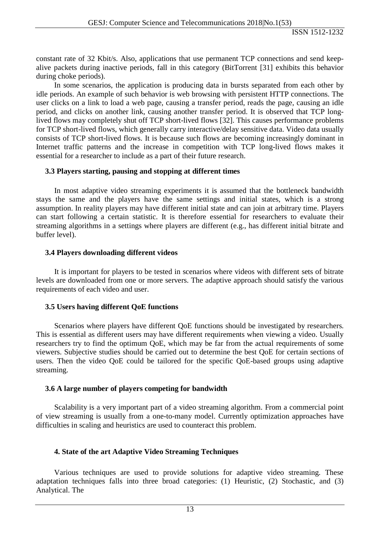constant rate of 32 Kbit/s. Also, applications that use permanent TCP connections and send keepalive packets during inactive periods, fall in this category (BitTorrent [31] exhibits this behavior during choke periods).

In some scenarios, the application is producing data in bursts separated from each other by idle periods. An example of such behavior is web browsing with persistent HTTP connections. The user clicks on a link to load a web page, causing a transfer period, reads the page, causing an idle period, and clicks on another link, causing another transfer period. It is observed that TCP longlived flows may completely shut off TCP short-lived flows [32]. This causes performance problems for TCP short-lived flows, which generally carry interactive/delay sensitive data. Video data usually consists of TCP short-lived flows. It is because such flows are becoming increasingly dominant in Internet traffic patterns and the increase in competition with TCP long-lived flows makes it essential for a researcher to include as a part of their future research.

#### **3.3 Players starting, pausing and stopping at different times**

In most adaptive video streaming experiments it is assumed that the bottleneck bandwidth stays the same and the players have the same settings and initial states, which is a strong assumption. In reality players may have different initial state and can join at arbitrary time. Players can start following a certain statistic. It is therefore essential for researchers to evaluate their streaming algorithms in a settings where players are different (e.g., has different initial bitrate and buffer level).

#### **3.4 Players downloading different videos**

It is important for players to be tested in scenarios where videos with different sets of bitrate levels are downloaded from one or more servers. The adaptive approach should satisfy the various requirements of each video and user.

## **3.5 Users having different QoE functions**

Scenarios where players have different QoE functions should be investigated by researchers. This is essential as different users may have different requirements when viewing a video. Usually researchers try to find the optimum QoE, which may be far from the actual requirements of some viewers. Subjective studies should be carried out to determine the best QoE for certain sections of users. Then the video QoE could be tailored for the specific QoE-based groups using adaptive streaming.

## **3.6 A large number of players competing for bandwidth**

Scalability is a very important part of a video streaming algorithm. From a commercial point of view streaming is usually from a one-to-many model. Currently optimization approaches have difficulties in scaling and heuristics are used to counteract this problem.

## **4. State of the art Adaptive Video Streaming Techniques**

Various techniques are used to provide solutions for adaptive video streaming. These adaptation techniques falls into three broad categories: (1) Heuristic, (2) Stochastic, and (3) Analytical. The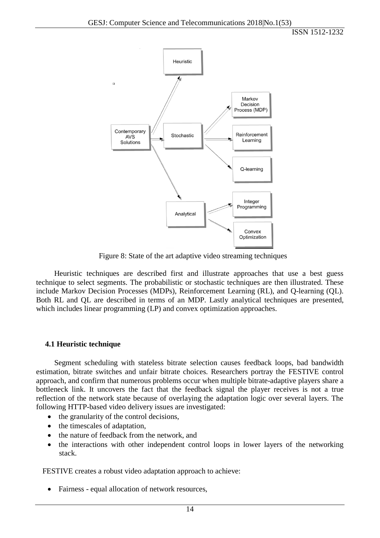

Figure 8: State of the art adaptive video streaming techniques

Heuristic techniques are described first and illustrate approaches that use a best guess technique to select segments. The probabilistic or stochastic techniques are then illustrated. These include Markov Decision Processes (MDPs), Reinforcement Learning (RL), and Q-learning (QL). Both RL and QL are described in terms of an MDP. Lastly analytical techniques are presented, which includes linear programming (LP) and convex optimization approaches.

#### **4.1 Heuristic technique**

Segment scheduling with stateless bitrate selection causes feedback loops, bad bandwidth estimation, bitrate switches and unfair bitrate choices. Researchers portray the FESTIVE control approach, and confirm that numerous problems occur when multiple bitrate-adaptive players share a bottleneck link. It uncovers the fact that the feedback signal the player receives is not a true reflection of the network state because of overlaying the adaptation logic over several layers. The following HTTP-based video delivery issues are investigated:

- the granularity of the control decisions,
- the timescales of adaptation,
- the nature of feedback from the network, and
- the interactions with other independent control loops in lower layers of the networking stack.

FESTIVE creates a robust video adaptation approach to achieve:

• Fairness - equal allocation of network resources,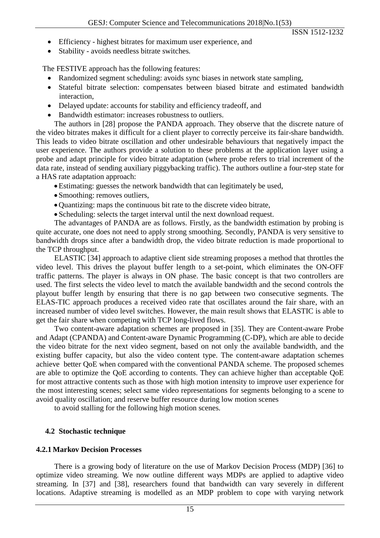- Efficiency highest bitrates for maximum user experience, and
- Stability avoids needless bitrate switches.

The FESTIVE approach has the following features:

- Randomized segment scheduling: avoids sync biases in network state sampling,
- Stateful bitrate selection: compensates between biased bitrate and estimated bandwidth interaction,
- Delayed update: accounts for stability and efficiency tradeoff, and
- Bandwidth estimator: increases robustness to outliers.

The authors in [28] propose the PANDA approach. They observe that the discrete nature of the video bitrates makes it difficult for a client player to correctly perceive its fair-share bandwidth. This leads to video bitrate oscillation and other undesirable behaviours that negatively impact the user experience. The authors provide a solution to these problems at the application layer using a probe and adapt principle for video bitrate adaptation (where probe refers to trial increment of the data rate, instead of sending auxiliary piggybacking traffic). The authors outline a four-step state for a HAS rate adaptation approach:

- Estimating: guesses the network bandwidth that can legitimately be used,
- Smoothing: removes outliers,
- Quantizing: maps the continuous bit rate to the discrete video bitrate,
- Scheduling: selects the target interval until the next download request.

The advantages of PANDA are as follows. Firstly, as the bandwidth estimation by probing is quite accurate, one does not need to apply strong smoothing. Secondly, PANDA is very sensitive to bandwidth drops since after a bandwidth drop, the video bitrate reduction is made proportional to the TCP throughput.

ELASTIC [34] approach to adaptive client side streaming proposes a method that throttles the video level. This drives the playout buffer length to a set-point, which eliminates the ON-OFF traffic patterns. The player is always in ON phase. The basic concept is that two controllers are used. The first selects the video level to match the available bandwidth and the second controls the playout buffer length by ensuring that there is no gap between two consecutive segments. The ELAS-TIC approach produces a received video rate that oscillates around the fair share, with an increased number of video level switches. However, the main result shows that ELASTIC is able to get the fair share when competing with TCP long-lived flows.

Two content-aware adaptation schemes are proposed in [35]. They are Content-aware Probe and Adapt (CPANDA) and Content-aware Dynamic Programming (C-DP), which are able to decide the video bitrate for the next video segment, based on not only the available bandwidth, and the existing buffer capacity, but also the video content type. The content-aware adaptation schemes achieve better QoE when compared with the conventional PANDA scheme. The proposed schemes are able to optimize the QoE according to contents. They can achieve higher than acceptable QoE for most attractive contents such as those with high motion intensity to improve user experience for the most interesting scenes; select same video representations for segments belonging to a scene to avoid quality oscillation; and reserve buffer resource during low motion scenes

to avoid stalling for the following high motion scenes.

## **4.2 Stochastic technique**

#### **4.2.1 Markov Decision Processes**

There is a growing body of literature on the use of Markov Decision Process (MDP) [36] to optimize video streaming. We now outline different ways MDPs are applied to adaptive video streaming. In [37] and [38], researchers found that bandwidth can vary severely in different locations. Adaptive streaming is modelled as an MDP problem to cope with varying network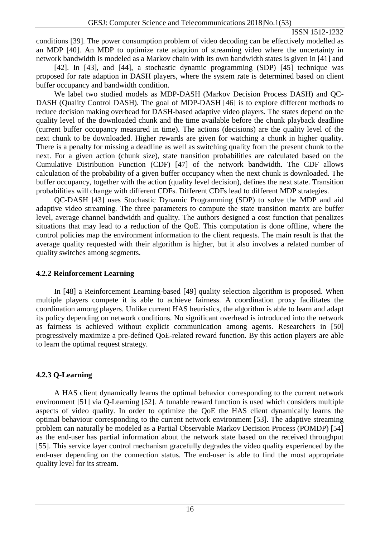conditions [39]. The power consumption problem of video decoding can be effectively modelled as an MDP [40]. An MDP to optimize rate adaption of streaming video where the uncertainty in network bandwidth is modeled as a Markov chain with its own bandwidth states is given in [41] and

[42]. In [43], and [44], a stochastic dynamic programming (SDP) [45] technique was proposed for rate adaption in DASH players, where the system rate is determined based on client buffer occupancy and bandwidth condition.

We label two studied models as MDP-DASH (Markov Decision Process DASH) and QC-DASH (Quality Control DASH). The goal of MDP-DASH [46] is to explore different methods to reduce decision making overhead for DASH-based adaptive video players. The states depend on the quality level of the downloaded chunk and the time available before the chunk playback deadline (current buffer occupancy measured in time). The actions (decisions) are the quality level of the next chunk to be downloaded. Higher rewards are given for watching a chunk in higher quality. There is a penalty for missing a deadline as well as switching quality from the present chunk to the next. For a given action (chunk size), state transition probabilities are calculated based on the Cumulative Distribution Function (CDF) [47] of the network bandwidth. The CDF allows calculation of the probability of a given buffer occupancy when the next chunk is downloaded. The buffer occupancy, together with the action (quality level decision), defines the next state. Transition probabilities will change with different CDFs. Different CDFs lead to different MDP strategies.

QC-DASH [43] uses Stochastic Dynamic Programming (SDP) to solve the MDP and aid adaptive video streaming. The three parameters to compute the state transition matrix are buffer level, average channel bandwidth and quality. The authors designed a cost function that penalizes situations that may lead to a reduction of the QoE. This computation is done offline, where the control policies map the environment information to the client requests. The main result is that the average quality requested with their algorithm is higher, but it also involves a related number of quality switches among segments.

## **4.2.2 Reinforcement Learning**

In [48] a Reinforcement Learning-based [49] quality selection algorithm is proposed. When multiple players compete it is able to achieve fairness. A coordination proxy facilitates the coordination among players. Unlike current HAS heuristics, the algorithm is able to learn and adapt its policy depending on network conditions. No significant overhead is introduced into the network as fairness is achieved without explicit communication among agents. Researchers in [50] progressively maximize a pre-defined QoE-related reward function. By this action players are able to learn the optimal request strategy.

# **4.2.3 Q-Learning**

A HAS client dynamically learns the optimal behavior corresponding to the current network environment [51] via Q-Learning [52]. A tunable reward function is used which considers multiple aspects of video quality. In order to optimize the QoE the HAS client dynamically learns the optimal behaviour corresponding to the current network environment [53]. The adaptive streaming problem can naturally be modeled as a Partial Observable Markov Decision Process (POMDP) [54] as the end-user has partial information about the network state based on the received throughput [55]. This service layer control mechanism gracefully degrades the video quality experienced by the end-user depending on the connection status. The end-user is able to find the most appropriate quality level for its stream.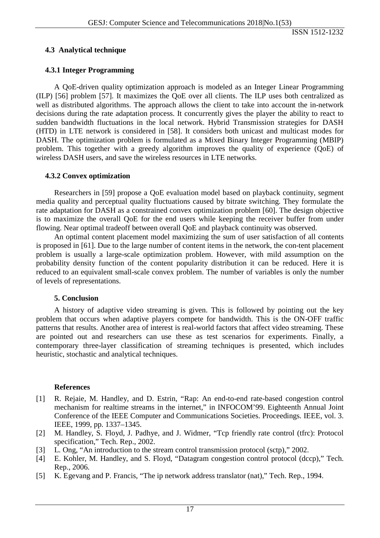## **4.3 Analytical technique**

### **4.3.1 Integer Programming**

A QoE-driven quality optimization approach is modeled as an Integer Linear Programming (ILP) [56] problem [57]. It maximizes the QoE over all clients. The ILP uses both centralized as well as distributed algorithms. The approach allows the client to take into account the in-network decisions during the rate adaptation process. It concurrently gives the player the ability to react to sudden bandwidth fluctuations in the local network. Hybrid Transmission strategies for DASH (HTD) in LTE network is considered in [58]. It considers both unicast and multicast modes for DASH. The optimization problem is formulated as a Mixed Binary Integer Programming (MBIP) problem. This together with a greedy algorithm improves the quality of experience (QoE) of wireless DASH users, and save the wireless resources in LTE networks.

#### **4.3.2 Convex optimization**

Researchers in [59] propose a QoE evaluation model based on playback continuity, segment media quality and perceptual quality fluctuations caused by bitrate switching. They formulate the rate adaptation for DASH as a constrained convex optimization problem [60]. The design objective is to maximize the overall QoE for the end users while keeping the receiver buffer from under flowing. Near optimal tradeoff between overall QoE and playback continuity was observed.

An optimal content placement model maximizing the sum of user satisfaction of all contents is proposed in [61]. Due to the large number of content items in the network, the con-tent placement problem is usually a large-scale optimization problem. However, with mild assumption on the probability density function of the content popularity distribution it can be reduced. Here it is reduced to an equivalent small-scale convex problem. The number of variables is only the number of levels of representations.

#### **5. Conclusion**

A history of adaptive video streaming is given. This is followed by pointing out the key problem that occurs when adaptive players compete for bandwidth. This is the ON-OFF traffic patterns that results. Another area of interest is real-world factors that affect video streaming. These are pointed out and researchers can use these as test scenarios for experiments. Finally, a contemporary three-layer classification of streaming techniques is presented, which includes heuristic, stochastic and analytical techniques.

#### **References**

- [1] R. Rejaie, M. Handley, and D. Estrin, "Rap: An end-to-end rate-based congestion control mechanism for realtime streams in the internet," in INFOCOM'99. Eighteenth Annual Joint Conference of the IEEE Computer and Communications Societies. Proceedings. IEEE, vol. 3. IEEE, 1999, pp. 1337–1345.
- [2] M. Handley, S. Floyd, J. Padhye, and J. Widmer, "Tcp friendly rate control (tfrc): Protocol specification," Tech. Rep., 2002.
- [3] L. Ong, "An introduction to the stream control transmission protocol (sctp)," 2002.
- [4] E. Kohler, M. Handley, and S. Floyd, "Datagram congestion control protocol (dccp)," Tech. Rep., 2006.
- [5] K. Egevang and P. Francis, "The ip network address translator (nat)," Tech. Rep., 1994.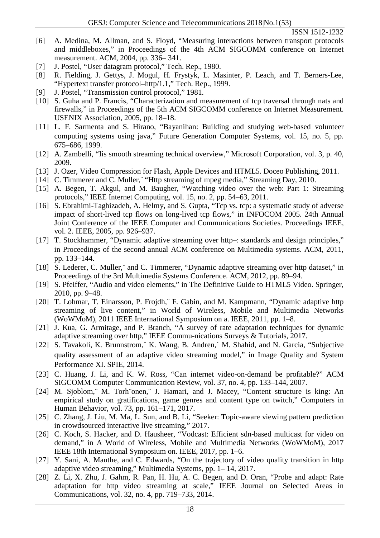- [6] A. Medina, M. Allman, and S. Floyd, "Measuring interactions between transport protocols and middleboxes," in Proceedings of the 4th ACM SIGCOMM conference on Internet measurement. ACM, 2004, pp. 336– 341.
- [7] J. Postel, "User datagram protocol," Tech. Rep., 1980.
- [8] R. Fielding, J. Gettys, J. Mogul, H. Frystyk, L. Masinter, P. Leach, and T. Berners-Lee, "Hypertext transfer protocol–http/1.1," Tech. Rep., 1999.
- [9] J. Postel, "Transmission control protocol," 1981.
- [10] S. Guha and P. Francis, "Characterization and measurement of tcp traversal through nats and firewalls," in Proceedings of the 5th ACM SIGCOMM conference on Internet Measurement. USENIX Association, 2005, pp. 18–18.
- [11] L. F. Sarmenta and S. Hirano, "Bayanihan: Building and studying web-based volunteer computing systems using java," Future Generation Computer Systems, vol. 15, no. 5, pp. 675–686, 1999.
- [12] A. Zambelli, "Iis smooth streaming technical overview," Microsoft Corporation, vol. 3, p. 40, 2009.
- [13] J. Ozer, Video Compression for Flash, Apple Devices and HTML5. Doceo Publishing, 2011.
- [14] C. Timmerer and C. Muller, "Http streaming of mpeg media," Streaming Day, 2010.
- [15] A. Begen, T. Akgul, and M. Baugher, "Watching video over the web: Part 1: Streaming protocols," IEEE Internet Computing, vol. 15, no. 2, pp. 54–63, 2011.
- [16] S. Ebrahimi-Taghizadeh, A. Helmy, and S. Gupta, "Tcp vs. tcp: a systematic study of adverse impact of short-lived tcp flows on long-lived tcp flows," in INFOCOM 2005. 24th Annual Joint Conference of the IEEE Computer and Communications Societies. Proceedings IEEE, vol. 2. IEEE, 2005, pp. 926–937.
- [17] T. Stockhammer, "Dynamic adaptive streaming over http-: standards and design principles," in Proceedings of the second annual ACM conference on Multimedia systems. ACM, 2011, pp. 133–144.
- [18] S. Lederer, C. Muller, and C. Timmerer, "Dynamic adaptive streaming over http dataset," in Proceedings of the 3rd Multimedia Systems Conference. ACM, 2012, pp. 89–94.
- [19] S. Pfeiffer, "Audio and video elements," in The Definitive Guide to HTML5 Video. Springer, 2010, pp. 9–48.
- [20] T. Lohmar, T. Einarsson, P. Frojdh,¨ F. Gabin, and M. Kampmann, "Dynamic adaptive http streaming of live content," in World of Wireless, Mobile and Multimedia Networks (WoWMoM), 2011 IEEE International Symposium on a. IEEE, 2011, pp. 1–8.
- [21] J. Kua, G. Armitage, and P. Branch, "A survey of rate adaptation techniques for dynamic adaptive streaming over http," IEEE Commu-nications Surveys & Tutorials, 2017.
- [22] S. Tavakoli, K. Brunnstrom,¨ K. Wang, B. Andren,´ M. Shahid, and N. Garcia, "Subjective quality assessment of an adaptive video streaming model," in Image Quality and System Performance XI. SPIE, 2014.
- [23] C. Huang, J. Li, and K. W. Ross, "Can internet video-on-demand be profitable?" ACM SIGCOMM Computer Communication Review, vol. 37, no. 4, pp. 133–144, 2007.
- [24] M. Sjoblom,¨ M. Torh¨onen,¨ J. Hamari, and J. Macey, "Content structure is king: An empirical study on gratifications, game genres and content type on twitch," Computers in Human Behavior, vol. 73, pp. 161–171, 2017.
- [25] C. Zhang, J. Liu, M. Ma, L. Sun, and B. Li, "Seeker: Topic-aware viewing pattern prediction in crowdsourced interactive live streaming," 2017.
- [26] C. Koch, S. Hacker, and D. Hausheer, "Vodcast: Efficient sdn-based multicast for video on demand," in A World of Wireless, Mobile and Multimedia Networks (WoWMoM), 2017 IEEE 18th International Symposium on. IEEE, 2017, pp. 1–6.
- [27] Y. Sani, A. Mauthe, and C. Edwards, "On the trajectory of video quality transition in http adaptive video streaming," Multimedia Systems, pp. 1– 14, 2017.
- [28] Z. Li, X. Zhu, J. Gahm, R. Pan, H. Hu, A. C. Begen, and D. Oran, "Probe and adapt: Rate adaptation for http video streaming at scale," IEEE Journal on Selected Areas in Communications, vol. 32, no. 4, pp. 719–733, 2014.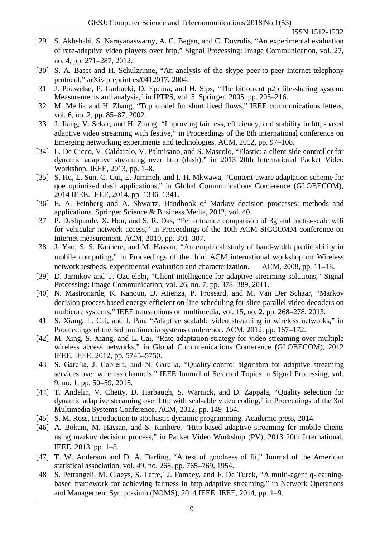- [29] S. Akhshabi, S. Narayanaswamy, A. C. Begen, and C. Dovrolis, "An experimental evaluation of rate-adaptive video players over http," Signal Processing: Image Communication, vol. 27, no. 4, pp. 271–287, 2012.
- [30] S. A. Baset and H. Schulzrinne, "An analysis of the skype peer-to-peer internet telephony protocol," arXiv preprint cs/0412017, 2004.
- [31] J. Pouwelse, P. Garbacki, D. Epema, and H. Sips, "The bittorrent p2p file-sharing system: Measurements and analysis," in IPTPS, vol. 5. Springer, 2005, pp. 205–216.
- [32] M. Mellia and H. Zhang, "Tcp model for short lived flows," IEEE communications letters, vol. 6, no. 2, pp. 85–87, 2002.
- [33] J. Jiang, V. Sekar, and H. Zhang, "Improving fairness, efficiency, and stability in http-based adaptive video streaming with festive," in Proceedings of the 8th international conference on Emerging networking experiments and technologies. ACM, 2012, pp. 97–108.
- [34] L. De Cicco, V. Caldaralo, V. Palmisano, and S. Mascolo, "Elastic: a client-side controller for dynamic adaptive streaming over http (dash)," in 2013 20th International Packet Video Workshop. IEEE, 2013, pp. 1–8.
- [35] S. Hu, L. Sun, C. Gui, E. Jammeh, and I.-H. Mkwawa, "Content-aware adaptation scheme for qoe optimized dash applications," in Global Communications Conference (GLOBECOM), 2014 IEEE. IEEE, 2014, pp. 1336–1341.
- [36] E. A. Feinberg and A. Shwartz, Handbook of Markov decision processes: methods and applications. Springer Science & Business Media, 2012, vol. 40.
- [37] P. Deshpande, X. Hou, and S. R. Das, "Performance comparison of 3g and metro-scale wifi for vehicular network access," in Proceedings of the 10th ACM SIGCOMM conference on Internet measurement. ACM, 2010, pp. 301–307.
- [38] J. Yao, S. S. Kanhere, and M. Hassan, "An empirical study of band-width predictability in mobile computing," in Proceedings of the third ACM international workshop on Wireless network testbeds, experimental evaluation and characterization. ACM, 2008, pp. 11–18.
- [39] D. Jarnikov and T. Ozc elebi, "Client intelligence for adaptive streaming solutions," Signal Processing: Image Communication, vol. 26, no. 7, pp. 378–389, 2011.
- [40] N. Mastronarde, K. Kanoun, D. Atienza, P. Frossard, and M. Van Der Schaar, "Markov decision process based energy-efficient on-line scheduling for slice-parallel video decoders on multicore systems," IEEE transactions on multimedia, vol. 15, no. 2, pp. 268–278, 2013.
- [41] S. Xiang, L. Cai, and J. Pan, "Adaptive scalable video streaming in wireless networks," in Proceedings of the 3rd multimedia systems conference. ACM, 2012, pp. 167–172.
- [42] M. Xing, S. Xiang, and L. Cai, "Rate adaptation strategy for video streaming over multiple wireless access networks," in Global Commu-nications Conference (GLOBECOM), 2012 IEEE. IEEE, 2012, pp. 5745–5750.
- [43] S. Garc'ia, J. Cabrera, and N. Garc'ia, "Quality-control algorithm for adaptive streaming services over wireless channels," IEEE Journal of Selected Topics in Signal Processing, vol. 9, no. 1, pp. 50–59, 2015.
- [44] T. Andelin, V. Chetty, D. Harbaugh, S. Warnick, and D. Zappala, "Quality selection for dynamic adaptive streaming over http with scal-able video coding," in Proceedings of the 3rd Multimedia Systems Conference. ACM, 2012, pp. 149–154.
- [45] S. M. Ross, Introduction to stochastic dynamic programming. Academic press, 2014.
- [46] A. Bokani, M. Hassan, and S. Kanhere, "Http-based adaptive streaming for mobile clients using markov decision process," in Packet Video Workshop (PV), 2013 20th International. IEEE, 2013, pp. 1–8.
- [47] T. W. Anderson and D. A. Darling, "A test of goodness of fit," Journal of the American statistical association, vol. 49, no. 268, pp. 765–769, 1954.
- [48] S. Petrangeli, M. Claeys, S. Latre,´ J. Famaey, and F. De Turck, "A multi-agent q-learningbased framework for achieving fairness in http adaptive streaming," in Network Operations and Management Sympo-sium (NOMS), 2014 IEEE. IEEE, 2014, pp. 1–9.